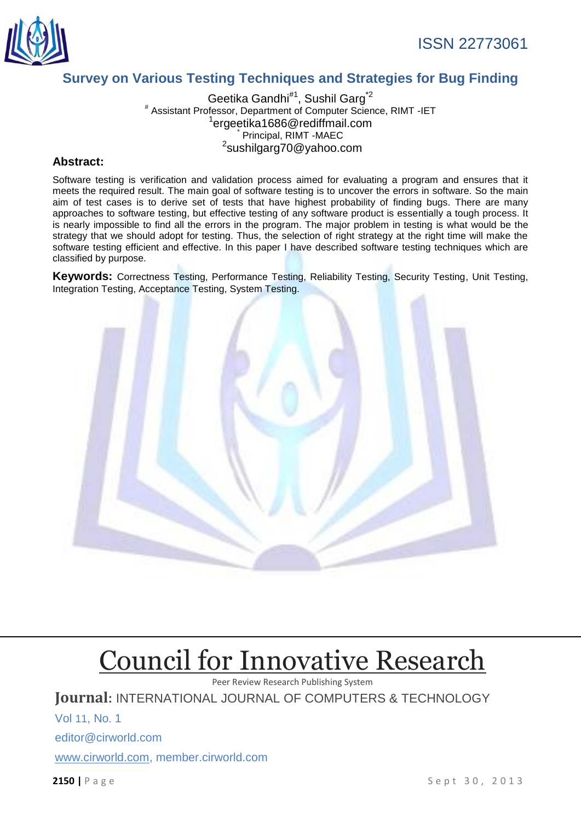

## ISSN 22773061

## **Survey on Various Testing Techniques and Strategies for Bug Finding**

Geetika Gandhi<sup>#1</sup>, Sushil Garg<sup>\*2</sup> # Assistant Professor, Department of Computer Science, RIMT -IET <sup>1</sup>ergeetika1686@rediffmail.com Principal, RIMT -MAEC <sup>2</sup>sushilgarg70@yahoo.com

#### **Abstract:**

Software testing is verification and validation process aimed for evaluating a program and ensures that it meets the required result. The main goal of software testing is to uncover the errors in software. So the main aim of test cases is to derive set of tests that have highest probability of finding bugs. There are many approaches to software testing, but effective testing of any software product is essentially a tough process. It is nearly impossible to find all the errors in the program. The major problem in testing is what would be the strategy that we should adopt for testing. Thus, the selection of right strategy at the right time will make the software testing efficient and effective. In this paper I have described software testing techniques which are classified by purpose.

**Keywords:** Correctness Testing, Performance Testing, Reliability Testing, Security Testing, Unit Testing, Integration Testing, Acceptance Testing, System Testing.



# [Council for Innovative Research](http://member.cirworld.com/)

Peer Review Research Publishing System

**Journal:** INTERNATIONAL JOURNAL OF COMPUTERS & TECHNOLOGY

Vol 11, No. 1 editor@cirworld.com [www.cirworld.com, me](http://www.cirworld.com/)mber.cirworld.com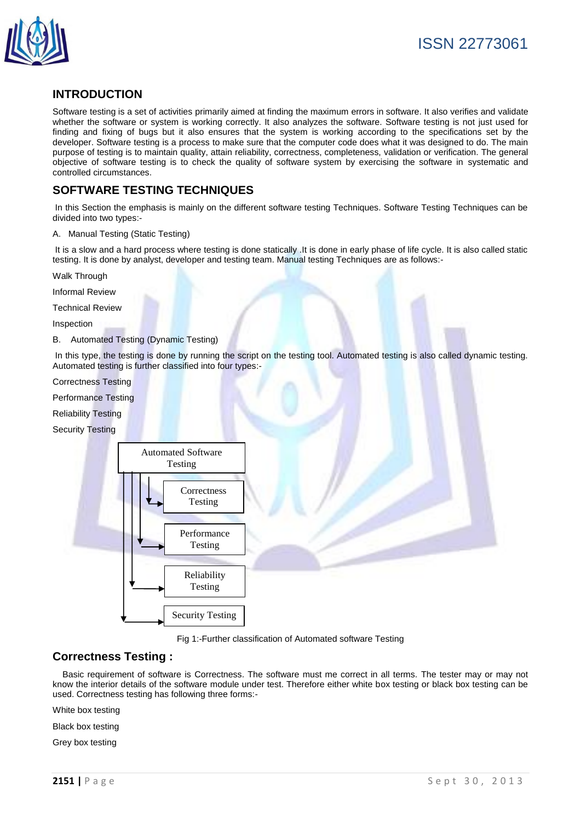

## **INTRODUCTION**

Software testing is a set of activities primarily aimed at finding the maximum errors in software. It also verifies and validate whether the software or system is working correctly. It also analyzes the software. Software testing is not just used for finding and fixing of bugs but it also ensures that the system is working according to the specifications set by the developer. Software testing is a process to make sure that the computer code does what it was designed to do. The main purpose of testing is to maintain quality, attain reliability, correctness, completeness, validation or verification. The general objective of software testing is to check the quality of software system by exercising the software in systematic and controlled circumstances.

## **SOFTWARE TESTING TECHNIQUES**

In this Section the emphasis is mainly on the different software testing Techniques. Software Testing Techniques can be divided into two types:-

A. Manual Testing (Static Testing)

It is a slow and a hard process where testing is done statically .It is done in early phase of life cycle. It is also called static testing. It is done by analyst, developer and testing team. Manual testing Techniques are as follows:-

Walk Through

Informal Review

Technical Review

Inspection

B. Automated Testing (Dynamic Testing)

In this type, the testing is done by running the script on the testing tool. Automated testing is also called dynamic testing. Automated testing is further classified into four types:-

Correctness Testing

Performance Testing

Reliability Testing

Security Testing



Fig 1:-Further classification of Automated software Testing

#### **Correctness Testing :**

 Basic requirement of software is Correctness. The software must me correct in all terms. The tester may or may not know the interior details of the software module under test. Therefore either white box testing or black box testing can be used. Correctness testing has following three forms:-

White box testing

Black box testing

Grey box testing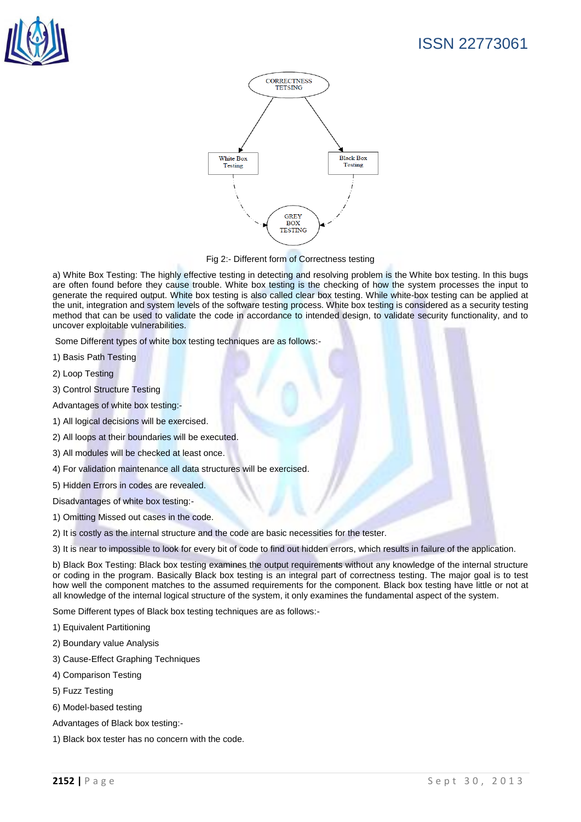

# ISSN 22773061



Fig 2:- Different form of Correctness testing

a) White Box Testing: The highly effective testing in detecting and resolving problem is the White box testing. In this bugs are often found before they cause trouble. White box testing is the checking of how the system processes the input to generate the required output. White box testing is also called clear box testing. While white-box testing can be applied at the unit, integration and system levels of the software testing process. White box testing is considered as a security testing method that can be used to validate the code in accordance to intended design, to validate security functionality, and to uncover exploitable vulnerabilities.

Some Different types of white box testing techniques are as follows:-

- 1) Basis Path Testing
- 2) Loop Testing
- 3) Control Structure Testing

Advantages of white box testing:-

- 1) All logical decisions will be exercised.
- 2) All loops at their boundaries will be executed.
- 3) All modules will be checked at least once.
- 4) For validation maintenance all data structures will be exercised.
- 5) Hidden Errors in codes are revealed.

Disadvantages of white box testing:-

- 1) Omitting Missed out cases in the code.
- 2) It is costly as the internal structure and the code are basic necessities for the tester.
- 3) It is near to impossible to look for every bit of code to find out hidden errors, which results in failure of the application.

b) Black Box Testing: Black box testing examines the output requirements without any knowledge of the internal structure or coding in the program. Basically Black box testing is an integral part of correctness testing. The major goal is to test how well the component matches to the assumed requirements for the component. Black box testing have little or not at all knowledge of the internal logical structure of the system, it only examines the fundamental aspect of the system.

Some Different types of Black box testing techniques are as follows:-

- 1) Equivalent Partitioning
- 2) Boundary value Analysis
- 3) Cause-Effect Graphing Techniques
- 4) Comparison Testing
- 5) Fuzz Testing
- 6) Model-based testing
- Advantages of Black box testing:-
- 1) Black box tester has no concern with the code.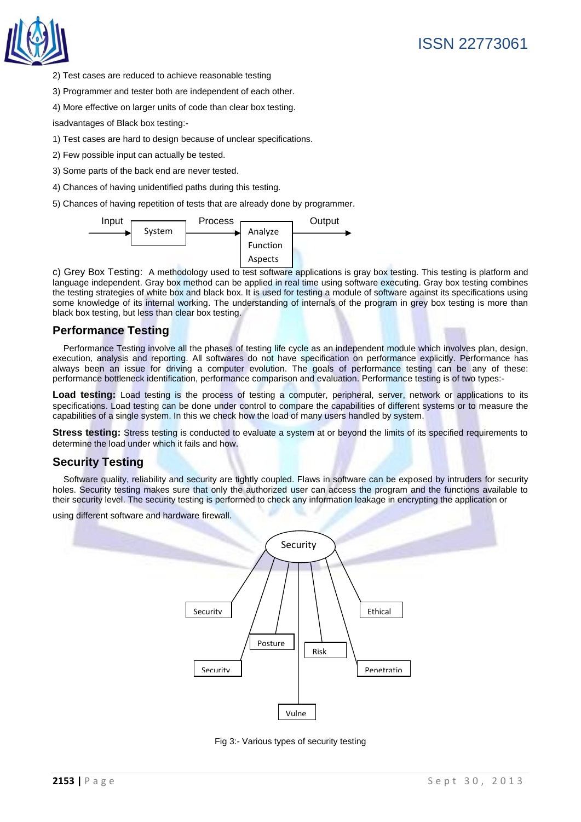

- 2) Test cases are reduced to achieve reasonable testing
- 3) Programmer and tester both are independent of each other.
- 4) More effective on larger units of code than clear box testing.

isadvantages of Black box testing:-

- 1) Test cases are hard to design because of unclear specifications.
- 2) Few possible input can actually be tested.
- 3) Some parts of the back end are never tested.
- 4) Chances of having unidentified paths during this testing.
- 5) Chances of having repetition of tests that are already done by programmer.



c) Grey Box Testing: A methodology used to test software applications is gray box testing. This testing is platform and language independent. Gray box method can be applied in real time using software executing. Gray box testing combines the testing strategies of white box and black box. It is used for testing a module of software against its specifications using some knowledge of its internal working. The understanding of internals of the program in grey box testing is more than black box testing, but less than clear box testing.

#### **Performance Testing**

Performance Testing involve all the phases of testing life cycle as an independent module which involves plan, design, execution, analysis and reporting. All softwares do not have specification on performance explicitly. Performance has always been an issue for driving a computer evolution. The goals of performance testing can be any of these: performance bottleneck identification, performance comparison and evaluation. Performance testing is of two types:-

Load testing: Load testing is the process of testing a computer, peripheral, server, network or applications to its specifications. Load testing can be done under control to compare the capabilities of different systems or to measure the capabilities of a single system. In this we check how the load of many users handled by system.

**Stress testing:** Stress testing is conducted to evaluate a system at or beyond the limits of its specified requirements to determine the load under which it fails and how.

#### **Security Testing**

Software quality, reliability and security are tightly coupled. Flaws in software can be exposed by intruders for security holes. Security testing makes sure that only the authorized user can access the program and the functions available to their security level. The security testing is performed to check any information leakage in encrypting the application or

using different software and hardware firewall.



Fig 3:- Various types of security testing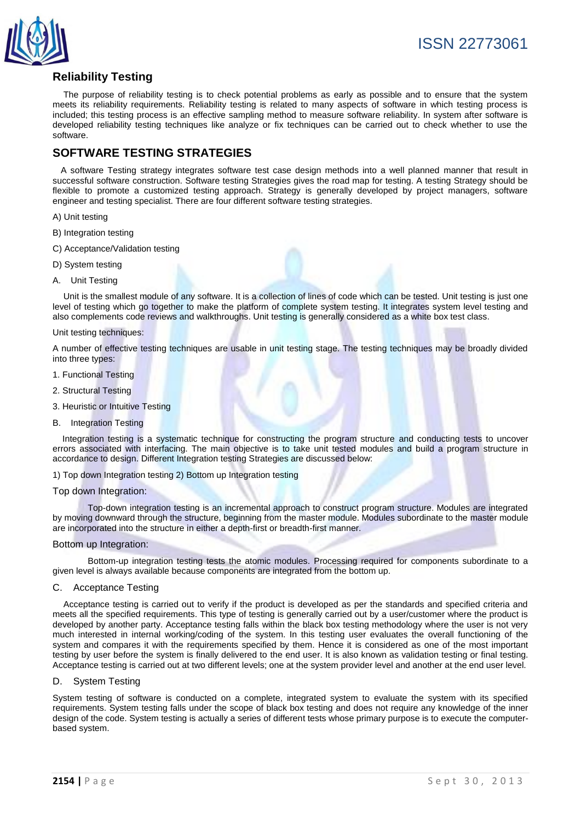

## **Reliability Testing**

 The purpose of reliability testing is to check potential problems as early as possible and to ensure that the system meets its reliability requirements. Reliability testing is related to many aspects of software in which testing process is included; this testing process is an effective sampling method to measure software reliability. In system after software is developed reliability testing techniques like analyze or fix techniques can be carried out to check whether to use the software.

## **SOFTWARE TESTING STRATEGIES**

 A software Testing strategy integrates software test case design methods into a well planned manner that result in successful software construction. Software testing Strategies gives the road map for testing. A testing Strategy should be flexible to promote a customized testing approach. Strategy is generally developed by project managers, software engineer and testing specialist. There are four different software testing strategies.

- A) Unit testing
- B) Integration testing
- C) Acceptance/Validation testing
- D) System testing
- A. Unit Testing

 Unit is the smallest module of any software. It is a collection of lines of code which can be tested. Unit testing is just one level of testing which go together to make the platform of complete system testing. It integrates system level testing and also complements code reviews and walkthroughs. Unit testing is generally considered as a white box test class.

#### Unit testing techniques:

A number of effective testing techniques are usable in unit testing stage. The testing techniques may be broadly divided into three types:

- 1. Functional Testing
- 2. Structural Testing
- 3. Heuristic or Intuitive Testing
- B. Integration Testing

 Integration testing is a systematic technique for constructing the program structure and conducting tests to uncover errors associated with interfacing. The main objective is to take unit tested modules and build a program structure in accordance to design. Different Integration testing Strategies are discussed below:

1) Top down Integration testing 2) Bottom up Integration testing

#### Top down Integration:

Top-down integration testing is an incremental approach to construct program structure. Modules are integrated by moving downward through the structure, beginning from the master module. Modules subordinate to the master module are incorporated into the structure in either a depth-first or breadth-first manner.

#### Bottom up Integration:

Bottom-up integration testing tests the atomic modules. Processing required for components subordinate to a given level is always available because components are integrated from the bottom up.

#### C. Acceptance Testing

 Acceptance testing is carried out to verify if the product is developed as per the standards and specified criteria and meets all the specified requirements. This type of testing is generally carried out by a user/customer where the product is developed by another party. Acceptance testing falls within the black box testing methodology where the user is not very much interested in internal working/coding of the system. In this testing user evaluates the overall functioning of the system and compares it with the requirements specified by them. Hence it is considered as one of the most important testing by user before the system is finally delivered to the end user. It is also known as validation testing or final testing. Acceptance testing is carried out at two different levels; one at the system provider level and another at the end user level.

#### D. System Testing

System testing of software is conducted on a complete, integrated system to evaluate the system with its specified requirements. System testing falls under the scope of black box testing and does not require any knowledge of the inner design of the code. System testing is actually a series of different tests whose primary purpose is to execute the computerbased system.